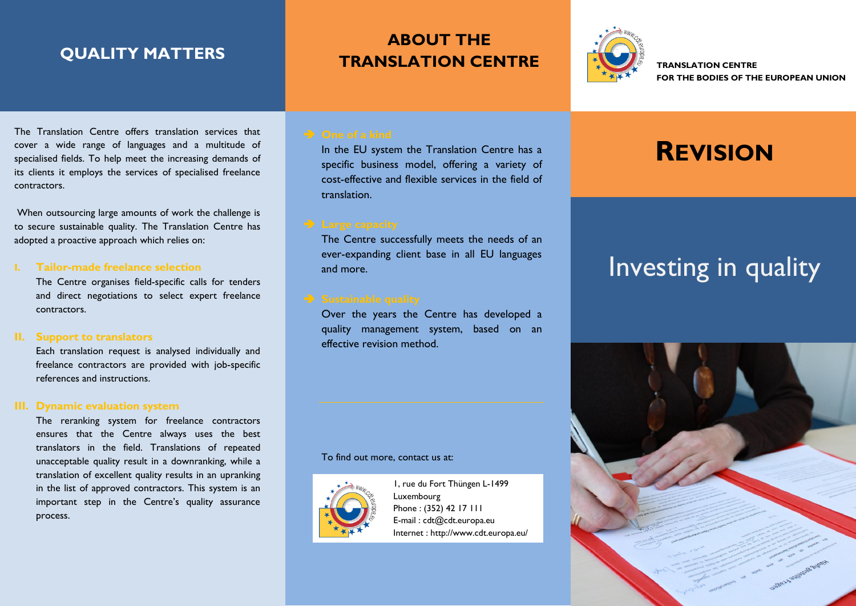## **QUALITY MATTERS**

# **ABOUT THE TRANSLATION CENTRE**



**TRANSLATION CENTRE FOR THE BODIES OF THE EUROPEAN UNION**

The Translation Centre offers translation services that cover a wide range of languages and a multitude of specialised fields. To help meet the increasing demands of its clients it employs the services of specialised freelance contractors.

When outsourcing large amounts of work the challenge is to secure sustainable quality. The Translation Centre has adopted a proactive approach which relies on:

### **I. Tailor-made freelance selection**

The Centre organises field-specific calls for tenders and direct negotiations to select expert freelance contractors.

## **II. Support to translators**

Each translation request is analysed individually and freelance contractors are provided with job-specific references and instructions.

### **III. Dynamic evaluation system**

The reranking system for freelance contractors ensures that the Centre always uses the best translators in the field. Translations of repeated unacceptable quality result in a downranking, while a translation of excellent quality results in an upranking in the list of approved contractors. This system is an important step in the Centre's quality assurance process.

In the EU system the Translation Centre has a specific business model, offering a variety of cost-effective and flexible services in the field of translation.

The Centre successfully meets the needs of an ever-expanding client base in all EU languages and more.

Over the years the Centre has developed a quality management system, based on an effective revision method.

### To find out more, contact us at:



1, rue du Fort Thüngen L-1499 Luxembourg Phone : (352) 42 17 111 E-mail : cdt@cdt.europa.eu Internet : http://www.cdt.europa.eu/

# **REVISION**

# Investing in quality